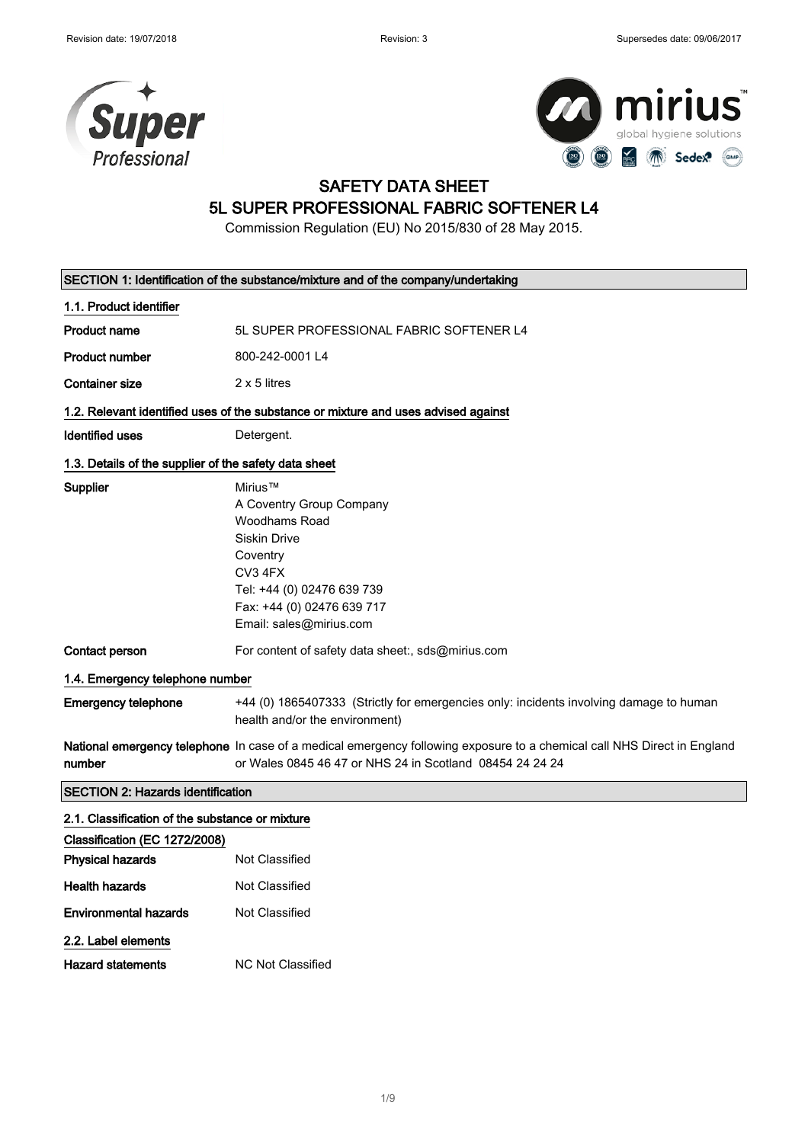



# SAFETY DATA SHEET

## 5L SUPER PROFESSIONAL FABRIC SOFTENER L4

Commission Regulation (EU) No 2015/830 of 28 May 2015.

| SECTION 1: Identification of the substance/mixture and of the company/undertaking |                                                                                                                                                                                           |  |
|-----------------------------------------------------------------------------------|-------------------------------------------------------------------------------------------------------------------------------------------------------------------------------------------|--|
| 1.1. Product identifier                                                           |                                                                                                                                                                                           |  |
| Product name                                                                      | 5L SUPER PROFESSIONAL FABRIC SOFTENER L4                                                                                                                                                  |  |
| <b>Product number</b>                                                             | 800-242-0001 L4                                                                                                                                                                           |  |
| <b>Container size</b>                                                             | 2 x 5 litres                                                                                                                                                                              |  |
|                                                                                   | 1.2. Relevant identified uses of the substance or mixture and uses advised against                                                                                                        |  |
| <b>Identified uses</b>                                                            | Detergent.                                                                                                                                                                                |  |
| 1.3. Details of the supplier of the safety data sheet                             |                                                                                                                                                                                           |  |
| Supplier                                                                          | Mirius™<br>A Coventry Group Company<br>Woodhams Road<br><b>Siskin Drive</b><br>Coventry<br>CV3 4FX<br>Tel: +44 (0) 02476 639 739<br>Fax: +44 (0) 02476 639 717<br>Email: sales@mirius.com |  |
| Contact person                                                                    | For content of safety data sheet:, sds@mirius.com                                                                                                                                         |  |
| 1.4. Emergency telephone number                                                   |                                                                                                                                                                                           |  |
| <b>Emergency telephone</b>                                                        | +44 (0) 1865407333 (Strictly for emergencies only: incidents involving damage to human<br>health and/or the environment)                                                                  |  |
| number                                                                            | National emergency telephone In case of a medical emergency following exposure to a chemical call NHS Direct in England<br>or Wales 0845 46 47 or NHS 24 in Scotland 08454 24 24 24       |  |
| <b>SECTION 2: Hazards identification</b>                                          |                                                                                                                                                                                           |  |
| 2.1. Classification of the substance or mixture                                   |                                                                                                                                                                                           |  |
| Classification (EC 1272/2008)                                                     |                                                                                                                                                                                           |  |
| <b>Physical hazards</b>                                                           | Not Classified                                                                                                                                                                            |  |
| <b>Health hazards</b>                                                             | Not Classified                                                                                                                                                                            |  |
| <b>Environmental hazards</b>                                                      | Not Classified                                                                                                                                                                            |  |
| 2.2. Label elements                                                               |                                                                                                                                                                                           |  |
| <b>Hazard statements</b>                                                          | <b>NC Not Classified</b>                                                                                                                                                                  |  |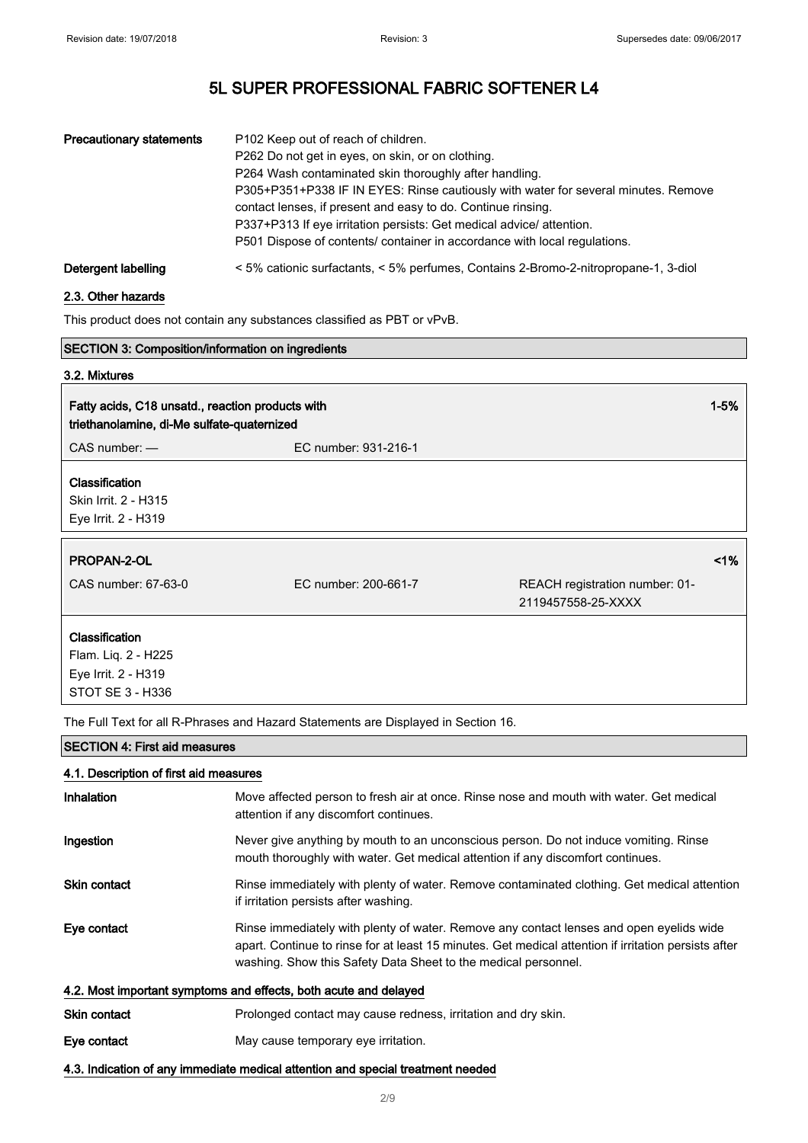| <b>Precautionary statements</b> | P102 Keep out of reach of children.<br>P262 Do not get in eyes, on skin, or on clothing.<br>P264 Wash contaminated skin thoroughly after handling.<br>P305+P351+P338 IF IN EYES: Rinse cautiously with water for several minutes. Remove<br>contact lenses, if present and easy to do. Continue rinsing.<br>P337+P313 If eye irritation persists: Get medical advice/attention.<br>P501 Dispose of contents/ container in accordance with local regulations. |
|---------------------------------|--------------------------------------------------------------------------------------------------------------------------------------------------------------------------------------------------------------------------------------------------------------------------------------------------------------------------------------------------------------------------------------------------------------------------------------------------------------|
| Detergent labelling             | < 5% cationic surfactants, < 5% perfumes, Contains 2-Bromo-2-nitropropane-1, 3-diol                                                                                                                                                                                                                                                                                                                                                                          |

### 2.3. Other hazards

This product does not contain any substances classified as PBT or vPvB.

| <b>SECTION 3: Composition/information on ingredients</b>                                       |                      |                                |
|------------------------------------------------------------------------------------------------|----------------------|--------------------------------|
| 3.2. Mixtures                                                                                  |                      |                                |
| Fatty acids, C18 unsatd., reaction products with<br>triethanolamine, di-Me sulfate-quaternized |                      | $1 - 5%$                       |
| EC number: 931-216-1                                                                           |                      |                                |
|                                                                                                |                      |                                |
|                                                                                                |                      |                                |
|                                                                                                |                      |                                |
|                                                                                                |                      | 1%                             |
|                                                                                                |                      |                                |
|                                                                                                | 2119457558-25-XXXX   |                                |
|                                                                                                |                      |                                |
|                                                                                                |                      |                                |
|                                                                                                |                      |                                |
|                                                                                                |                      |                                |
|                                                                                                | EC number: 200-661-7 | REACH registration number: 01- |

The Full Text for all R-Phrases and Hazard Statements are Displayed in Section 16.

#### SECTION 4: First aid measures

#### 4.1. Description of first aid measures

| Inhalation                                                                      | Move affected person to fresh air at once. Rinse nose and mouth with water. Get medical<br>attention if any discomfort continues.                                                                                                                                 |  |
|---------------------------------------------------------------------------------|-------------------------------------------------------------------------------------------------------------------------------------------------------------------------------------------------------------------------------------------------------------------|--|
| Ingestion                                                                       | Never give anything by mouth to an unconscious person. Do not induce vomiting. Rinse<br>mouth thoroughly with water. Get medical attention if any discomfort continues.                                                                                           |  |
| <b>Skin contact</b>                                                             | Rinse immediately with plenty of water. Remove contaminated clothing. Get medical attention<br>if irritation persists after washing.                                                                                                                              |  |
| Eye contact                                                                     | Rinse immediately with plenty of water. Remove any contact lenses and open eyelids wide<br>apart. Continue to rinse for at least 15 minutes. Get medical attention if irritation persists after<br>washing. Show this Safety Data Sheet to the medical personnel. |  |
| 4.2. Most important symptoms and effects, both acute and delayed                |                                                                                                                                                                                                                                                                   |  |
| Skin contact                                                                    | Prolonged contact may cause redness, irritation and dry skin.                                                                                                                                                                                                     |  |
| Eye contact                                                                     | May cause temporary eye irritation.                                                                                                                                                                                                                               |  |
| 4.3. Indication of any immediate medical attention and special treatment needed |                                                                                                                                                                                                                                                                   |  |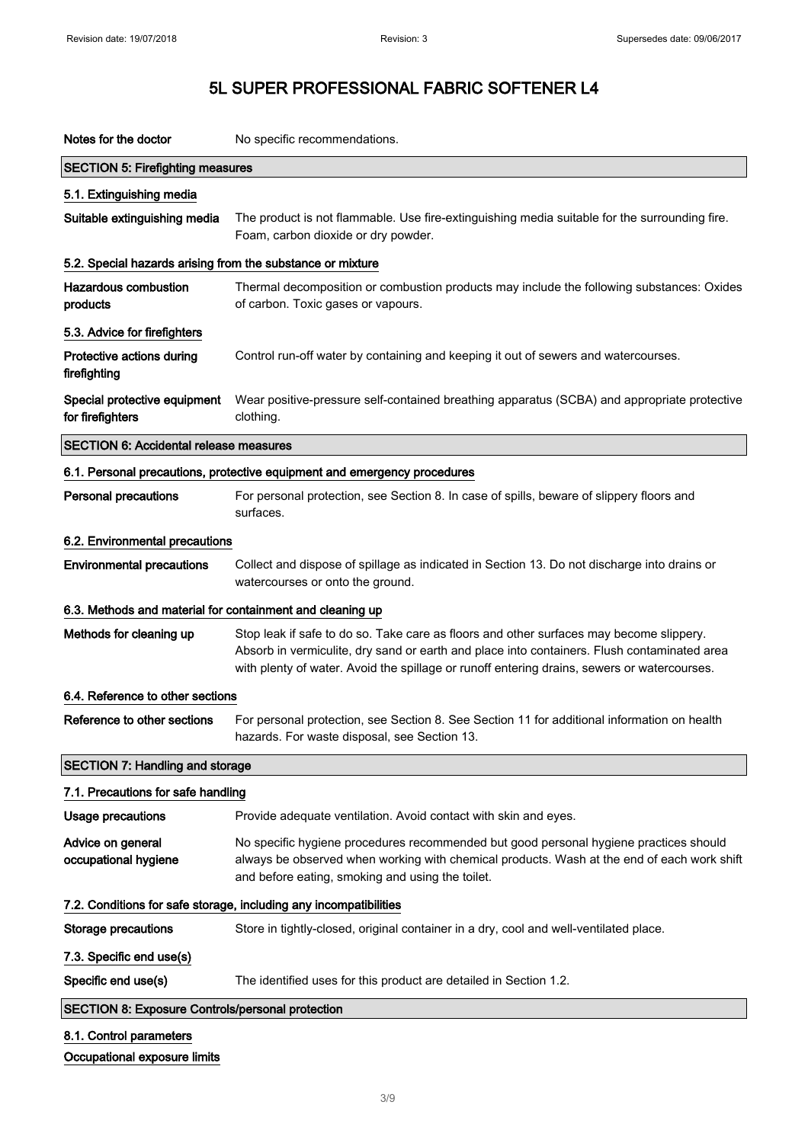| Notes for the doctor                                       | No specific recommendations.                                                                                                                                                                                                                                                          |
|------------------------------------------------------------|---------------------------------------------------------------------------------------------------------------------------------------------------------------------------------------------------------------------------------------------------------------------------------------|
| <b>SECTION 5: Firefighting measures</b>                    |                                                                                                                                                                                                                                                                                       |
| 5.1. Extinguishing media                                   |                                                                                                                                                                                                                                                                                       |
| Suitable extinguishing media                               | The product is not flammable. Use fire-extinguishing media suitable for the surrounding fire.<br>Foam, carbon dioxide or dry powder.                                                                                                                                                  |
| 5.2. Special hazards arising from the substance or mixture |                                                                                                                                                                                                                                                                                       |
| <b>Hazardous combustion</b><br>products                    | Thermal decomposition or combustion products may include the following substances: Oxides<br>of carbon. Toxic gases or vapours.                                                                                                                                                       |
| 5.3. Advice for firefighters                               |                                                                                                                                                                                                                                                                                       |
| Protective actions during<br>firefighting                  | Control run-off water by containing and keeping it out of sewers and watercourses.                                                                                                                                                                                                    |
| Special protective equipment<br>for firefighters           | Wear positive-pressure self-contained breathing apparatus (SCBA) and appropriate protective<br>clothing.                                                                                                                                                                              |
| <b>SECTION 6: Accidental release measures</b>              |                                                                                                                                                                                                                                                                                       |
|                                                            | 6.1. Personal precautions, protective equipment and emergency procedures                                                                                                                                                                                                              |
| <b>Personal precautions</b>                                | For personal protection, see Section 8. In case of spills, beware of slippery floors and<br>surfaces.                                                                                                                                                                                 |
| 6.2. Environmental precautions                             |                                                                                                                                                                                                                                                                                       |
| <b>Environmental precautions</b>                           | Collect and dispose of spillage as indicated in Section 13. Do not discharge into drains or<br>watercourses or onto the ground.                                                                                                                                                       |
| 6.3. Methods and material for containment and cleaning up  |                                                                                                                                                                                                                                                                                       |
| Methods for cleaning up                                    | Stop leak if safe to do so. Take care as floors and other surfaces may become slippery.<br>Absorb in vermiculite, dry sand or earth and place into containers. Flush contaminated area<br>with plenty of water. Avoid the spillage or runoff entering drains, sewers or watercourses. |
| 6.4. Reference to other sections                           |                                                                                                                                                                                                                                                                                       |
| Reference to other sections                                | For personal protection, see Section 8. See Section 11 for additional information on health<br>hazards. For waste disposal, see Section 13.                                                                                                                                           |
| <b>SECTION 7: Handling and storage</b>                     |                                                                                                                                                                                                                                                                                       |
| 7.1. Precautions for safe handling                         |                                                                                                                                                                                                                                                                                       |
| <b>Usage precautions</b>                                   | Provide adequate ventilation. Avoid contact with skin and eyes.                                                                                                                                                                                                                       |
| Advice on general<br>occupational hygiene                  | No specific hygiene procedures recommended but good personal hygiene practices should<br>always be observed when working with chemical products. Wash at the end of each work shift<br>and before eating, smoking and using the toilet.                                               |
|                                                            | 7.2. Conditions for safe storage, including any incompatibilities                                                                                                                                                                                                                     |
| <b>Storage precautions</b>                                 | Store in tightly-closed, original container in a dry, cool and well-ventilated place.                                                                                                                                                                                                 |
| 7.3. Specific end use(s)                                   |                                                                                                                                                                                                                                                                                       |
| Specific end use(s)                                        | The identified uses for this product are detailed in Section 1.2.                                                                                                                                                                                                                     |
| <b>SECTION 8: Exposure Controls/personal protection</b>    |                                                                                                                                                                                                                                                                                       |
| 8.1. Control parameters                                    |                                                                                                                                                                                                                                                                                       |
| Occupational exposure limits                               |                                                                                                                                                                                                                                                                                       |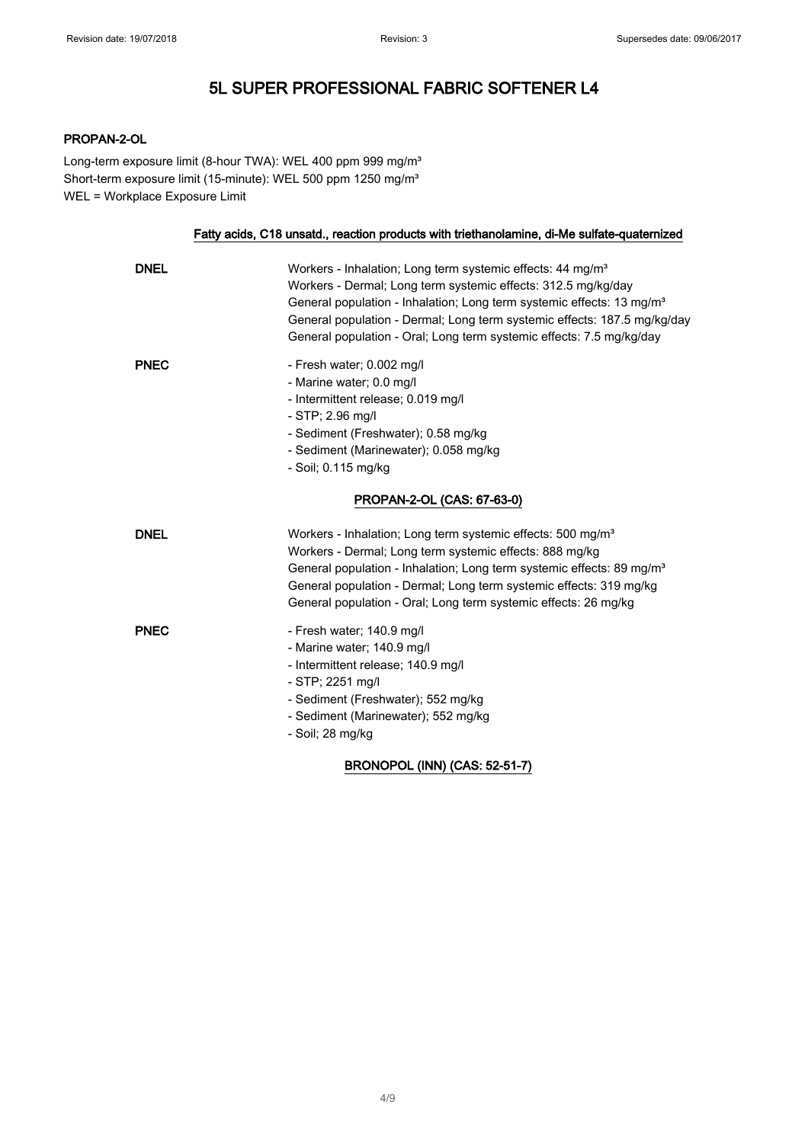### PROPAN-2-OL

Long-term exposure limit (8-hour TWA): WEL 400 ppm 999 mg/m<sup>3</sup> Short-term exposure limit (15-minute): WEL 500 ppm 1250 mg/m<sup>3</sup> WEL = Workplace Exposure Limit

### Fatty acids, C18 unsatd., reaction products with triethanolamine, di-Me sulfate-quaternized

| <b>DNEL</b> | Workers - Inhalation; Long term systemic effects: 44 mg/m <sup>3</sup><br>Workers - Dermal; Long term systemic effects: 312.5 mg/kg/day<br>General population - Inhalation; Long term systemic effects: 13 mg/m <sup>3</sup><br>General population - Dermal; Long term systemic effects: 187.5 mg/kg/day<br>General population - Oral; Long term systemic effects: 7.5 mg/kg/day |
|-------------|----------------------------------------------------------------------------------------------------------------------------------------------------------------------------------------------------------------------------------------------------------------------------------------------------------------------------------------------------------------------------------|
| <b>PNEC</b> | - Fresh water; 0.002 mg/l<br>- Marine water; 0.0 mg/l<br>- Intermittent release; 0.019 mg/l<br>$-$ STP; 2.96 mg/l<br>- Sediment (Freshwater); 0.58 mg/kg<br>- Sediment (Marinewater); 0.058 mg/kg<br>- Soil; 0.115 mg/kg<br>PROPAN-2-OL (CAS: 67-63-0)                                                                                                                           |
| <b>DNEL</b> | Workers - Inhalation; Long term systemic effects: 500 mg/m <sup>3</sup><br>Workers - Dermal; Long term systemic effects: 888 mg/kg<br>General population - Inhalation; Long term systemic effects: 89 mg/m <sup>3</sup><br>General population - Dermal; Long term systemic effects: 319 mg/kg<br>General population - Oral: Long term systemic effects: 26 mg/kg                 |
| <b>PNEC</b> | - Fresh water; 140.9 mg/l<br>- Marine water; 140.9 mg/l<br>- Intermittent release; 140.9 mg/l<br>- STP; 2251 mg/l<br>- Sediment (Freshwater); 552 mg/kg<br>- Sediment (Marinewater); 552 mg/kg<br>- Soil; 28 mg/kg                                                                                                                                                               |

### BRONOPOL (INN) (CAS: 52-51-7)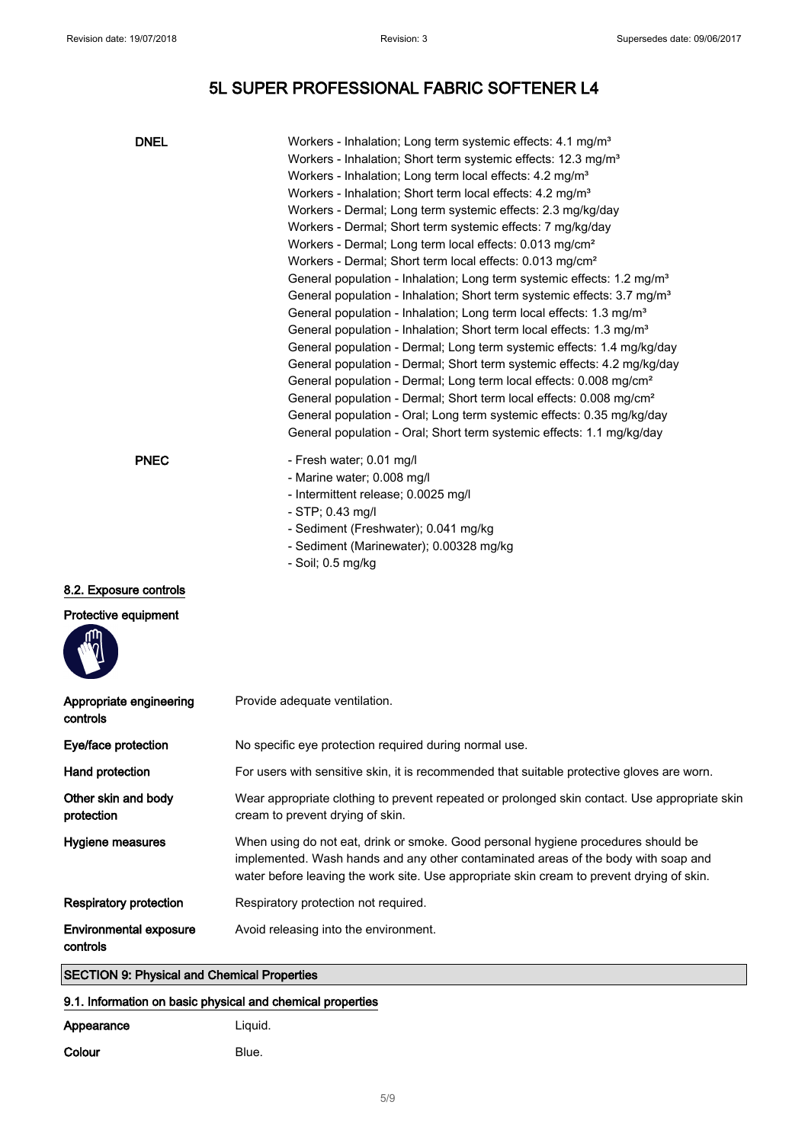| <b>DNEL</b>                                        | Workers - Inhalation; Long term systemic effects: 4.1 mg/m <sup>3</sup><br>Workers - Inhalation; Short term systemic effects: 12.3 mg/m <sup>3</sup><br>Workers - Inhalation; Long term local effects: 4.2 mg/m <sup>3</sup><br>Workers - Inhalation; Short term local effects: 4.2 mg/m <sup>3</sup><br>Workers - Dermal; Long term systemic effects: 2.3 mg/kg/day<br>Workers - Dermal; Short term systemic effects: 7 mg/kg/day<br>Workers - Dermal; Long term local effects: 0.013 mg/cm <sup>2</sup><br>Workers - Dermal; Short term local effects: 0.013 mg/cm <sup>2</sup><br>General population - Inhalation; Long term systemic effects: 1.2 mg/m <sup>3</sup><br>General population - Inhalation; Short term systemic effects: 3.7 mg/m <sup>3</sup><br>General population - Inhalation; Long term local effects: 1.3 mg/m <sup>3</sup><br>General population - Inhalation; Short term local effects: 1.3 mg/m <sup>3</sup><br>General population - Dermal; Long term systemic effects: 1.4 mg/kg/day<br>General population - Dermal; Short term systemic effects: 4.2 mg/kg/day<br>General population - Dermal; Long term local effects: 0.008 mg/cm <sup>2</sup><br>General population - Dermal; Short term local effects: 0.008 mg/cm <sup>2</sup><br>General population - Oral; Long term systemic effects: 0.35 mg/kg/day<br>General population - Oral; Short term systemic effects: 1.1 mg/kg/day |
|----------------------------------------------------|-------------------------------------------------------------------------------------------------------------------------------------------------------------------------------------------------------------------------------------------------------------------------------------------------------------------------------------------------------------------------------------------------------------------------------------------------------------------------------------------------------------------------------------------------------------------------------------------------------------------------------------------------------------------------------------------------------------------------------------------------------------------------------------------------------------------------------------------------------------------------------------------------------------------------------------------------------------------------------------------------------------------------------------------------------------------------------------------------------------------------------------------------------------------------------------------------------------------------------------------------------------------------------------------------------------------------------------------------------------------------------------------------------------------|
| <b>PNEC</b><br>8.2. Exposure controls              | - Fresh water; 0.01 mg/l<br>- Marine water; 0.008 mg/l<br>- Intermittent release; 0.0025 mg/l<br>$-$ STP; 0.43 mg/l<br>- Sediment (Freshwater); 0.041 mg/kg<br>- Sediment (Marinewater); 0.00328 mg/kg<br>- Soil; 0.5 mg/kg                                                                                                                                                                                                                                                                                                                                                                                                                                                                                                                                                                                                                                                                                                                                                                                                                                                                                                                                                                                                                                                                                                                                                                                       |
| Protective equipment                               |                                                                                                                                                                                                                                                                                                                                                                                                                                                                                                                                                                                                                                                                                                                                                                                                                                                                                                                                                                                                                                                                                                                                                                                                                                                                                                                                                                                                                   |
| Appropriate engineering<br>controls                | Provide adequate ventilation.                                                                                                                                                                                                                                                                                                                                                                                                                                                                                                                                                                                                                                                                                                                                                                                                                                                                                                                                                                                                                                                                                                                                                                                                                                                                                                                                                                                     |
| Eye/face protection                                | No specific eye protection required during normal use.                                                                                                                                                                                                                                                                                                                                                                                                                                                                                                                                                                                                                                                                                                                                                                                                                                                                                                                                                                                                                                                                                                                                                                                                                                                                                                                                                            |
| Hand protection                                    | For users with sensitive skin, it is recommended that suitable protective gloves are worn.                                                                                                                                                                                                                                                                                                                                                                                                                                                                                                                                                                                                                                                                                                                                                                                                                                                                                                                                                                                                                                                                                                                                                                                                                                                                                                                        |
| Other skin and body<br>protection                  | Wear appropriate clothing to prevent repeated or prolonged skin contact. Use appropriate skin<br>cream to prevent drying of skin.                                                                                                                                                                                                                                                                                                                                                                                                                                                                                                                                                                                                                                                                                                                                                                                                                                                                                                                                                                                                                                                                                                                                                                                                                                                                                 |
| Hygiene measures                                   | When using do not eat, drink or smoke. Good personal hygiene procedures should be<br>implemented. Wash hands and any other contaminated areas of the body with soap and<br>water before leaving the work site. Use appropriate skin cream to prevent drying of skin.                                                                                                                                                                                                                                                                                                                                                                                                                                                                                                                                                                                                                                                                                                                                                                                                                                                                                                                                                                                                                                                                                                                                              |
| <b>Respiratory protection</b>                      | Respiratory protection not required.                                                                                                                                                                                                                                                                                                                                                                                                                                                                                                                                                                                                                                                                                                                                                                                                                                                                                                                                                                                                                                                                                                                                                                                                                                                                                                                                                                              |
| <b>Environmental exposure</b><br>controls          | Avoid releasing into the environment.                                                                                                                                                                                                                                                                                                                                                                                                                                                                                                                                                                                                                                                                                                                                                                                                                                                                                                                                                                                                                                                                                                                                                                                                                                                                                                                                                                             |
| <b>SECTION 9: Physical and Chemical Properties</b> |                                                                                                                                                                                                                                                                                                                                                                                                                                                                                                                                                                                                                                                                                                                                                                                                                                                                                                                                                                                                                                                                                                                                                                                                                                                                                                                                                                                                                   |

### 9.1. Information on basic physical and chemical properties

| Appearance | Liguid. |
|------------|---------|
| Colour     | Blue.   |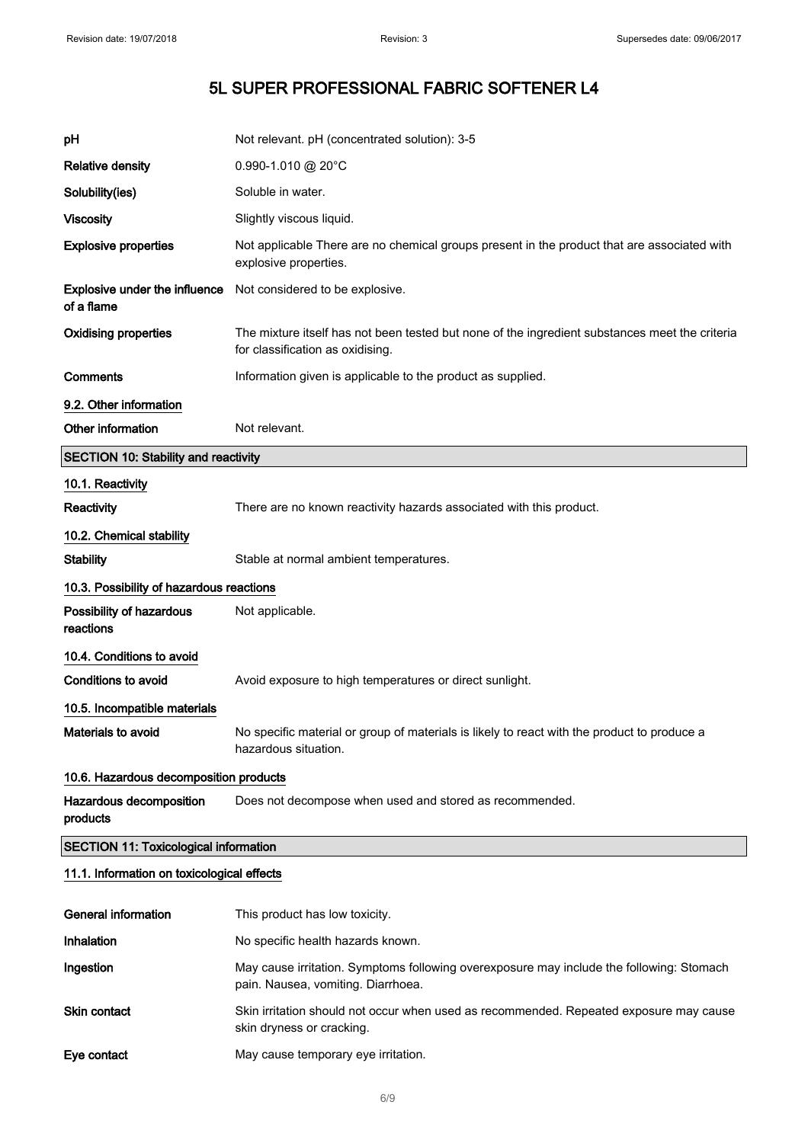| рH                                                 | Not relevant. pH (concentrated solution): 3-5                                                                                      |  |
|----------------------------------------------------|------------------------------------------------------------------------------------------------------------------------------------|--|
| <b>Relative density</b>                            | $0.990 - 1.010$ @ 20°C                                                                                                             |  |
| Solubility(ies)                                    | Soluble in water.                                                                                                                  |  |
| <b>Viscosity</b>                                   | Slightly viscous liquid.                                                                                                           |  |
| <b>Explosive properties</b>                        | Not applicable There are no chemical groups present in the product that are associated with<br>explosive properties.               |  |
| <b>Explosive under the influence</b><br>of a flame | Not considered to be explosive.                                                                                                    |  |
| <b>Oxidising properties</b>                        | The mixture itself has not been tested but none of the ingredient substances meet the criteria<br>for classification as oxidising. |  |
| Comments                                           | Information given is applicable to the product as supplied.                                                                        |  |
| 9.2. Other information                             |                                                                                                                                    |  |
| Other information                                  | Not relevant.                                                                                                                      |  |
| <b>SECTION 10: Stability and reactivity</b>        |                                                                                                                                    |  |
| 10.1. Reactivity                                   |                                                                                                                                    |  |
| Reactivity                                         | There are no known reactivity hazards associated with this product.                                                                |  |
| 10.2. Chemical stability                           |                                                                                                                                    |  |
| <b>Stability</b>                                   | Stable at normal ambient temperatures.                                                                                             |  |
| 10.3. Possibility of hazardous reactions           |                                                                                                                                    |  |
| Possibility of hazardous<br>reactions              | Not applicable.                                                                                                                    |  |
| 10.4. Conditions to avoid                          |                                                                                                                                    |  |
| Conditions to avoid                                | Avoid exposure to high temperatures or direct sunlight.                                                                            |  |
| 10.5. Incompatible materials                       |                                                                                                                                    |  |
| Materials to avoid                                 | No specific material or group of materials is likely to react with the product to produce a<br>hazardous situation.                |  |
| 10.6. Hazardous decomposition products             |                                                                                                                                    |  |
| Hazardous decomposition<br>products                | Does not decompose when used and stored as recommended.                                                                            |  |
| <b>SECTION 11: Toxicological information</b>       |                                                                                                                                    |  |
| 11.1. Information on toxicological effects         |                                                                                                                                    |  |
| <b>General information</b>                         | This product has low toxicity.                                                                                                     |  |
| <b>Inhalation</b>                                  | No specific health hazards known.                                                                                                  |  |
| Ingestion                                          | May cause irritation. Symptoms following overexposure may include the following: Stomach<br>pain. Nausea, vomiting. Diarrhoea.     |  |

- Skin contact Skin irritation should not occur when used as recommended. Repeated exposure may cause skin dryness or cracking.
- Eye contact May cause temporary eye irritation.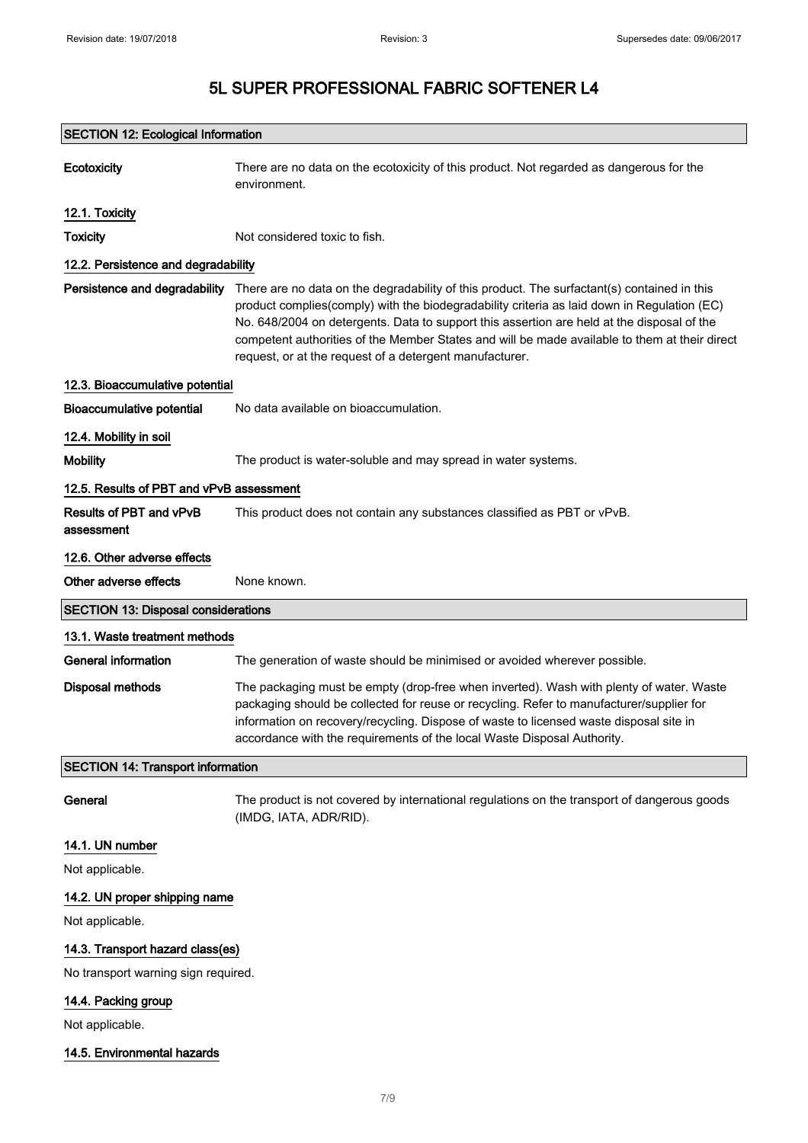| <b>SECTION 12: Ecological Information</b>  |                                                                                                                                                                                                                                                                                                                                                                                                                                                      |  |
|--------------------------------------------|------------------------------------------------------------------------------------------------------------------------------------------------------------------------------------------------------------------------------------------------------------------------------------------------------------------------------------------------------------------------------------------------------------------------------------------------------|--|
| Ecotoxicity                                | There are no data on the ecotoxicity of this product. Not regarded as dangerous for the<br>environment.                                                                                                                                                                                                                                                                                                                                              |  |
| 12.1. Toxicity                             |                                                                                                                                                                                                                                                                                                                                                                                                                                                      |  |
| <b>Toxicity</b>                            | Not considered toxic to fish.                                                                                                                                                                                                                                                                                                                                                                                                                        |  |
| 12.2. Persistence and degradability        |                                                                                                                                                                                                                                                                                                                                                                                                                                                      |  |
| Persistence and degradability              | There are no data on the degradability of this product. The surfactant(s) contained in this<br>product complies(comply) with the biodegradability criteria as laid down in Regulation (EC)<br>No. 648/2004 on detergents. Data to support this assertion are held at the disposal of the<br>competent authorities of the Member States and will be made available to them at their direct<br>request, or at the request of a detergent manufacturer. |  |
| 12.3. Bioaccumulative potential            |                                                                                                                                                                                                                                                                                                                                                                                                                                                      |  |
| <b>Bioaccumulative potential</b>           | No data available on bioaccumulation.                                                                                                                                                                                                                                                                                                                                                                                                                |  |
| 12.4. Mobility in soil                     |                                                                                                                                                                                                                                                                                                                                                                                                                                                      |  |
| <b>Mobility</b>                            | The product is water-soluble and may spread in water systems.                                                                                                                                                                                                                                                                                                                                                                                        |  |
| 12.5. Results of PBT and vPvB assessment   |                                                                                                                                                                                                                                                                                                                                                                                                                                                      |  |
| Results of PBT and vPvB<br>assessment      | This product does not contain any substances classified as PBT or vPvB.                                                                                                                                                                                                                                                                                                                                                                              |  |
| 12.6. Other adverse effects                |                                                                                                                                                                                                                                                                                                                                                                                                                                                      |  |
| Other adverse effects                      | None known.                                                                                                                                                                                                                                                                                                                                                                                                                                          |  |
| <b>SECTION 13: Disposal considerations</b> |                                                                                                                                                                                                                                                                                                                                                                                                                                                      |  |
| 13.1. Waste treatment methods              |                                                                                                                                                                                                                                                                                                                                                                                                                                                      |  |
| <b>General information</b>                 | The generation of waste should be minimised or avoided wherever possible.                                                                                                                                                                                                                                                                                                                                                                            |  |
| <b>Disposal methods</b>                    | The packaging must be empty (drop-free when inverted). Wash with plenty of water. Waste<br>packaging should be collected for reuse or recycling. Refer to manufacturer/supplier for<br>information on recovery/recycling. Dispose of waste to licensed waste disposal site in<br>accordance with the requirements of the local Waste Disposal Authority.                                                                                             |  |
| <b>SECTION 14: Transport information</b>   |                                                                                                                                                                                                                                                                                                                                                                                                                                                      |  |
| General                                    | The product is not covered by international regulations on the transport of dangerous goods<br>(IMDG, IATA, ADR/RID).                                                                                                                                                                                                                                                                                                                                |  |
| 14.1. UN number                            |                                                                                                                                                                                                                                                                                                                                                                                                                                                      |  |
| Not applicable.                            |                                                                                                                                                                                                                                                                                                                                                                                                                                                      |  |
| 14.2. UN proper shipping name              |                                                                                                                                                                                                                                                                                                                                                                                                                                                      |  |
| Not applicable.                            |                                                                                                                                                                                                                                                                                                                                                                                                                                                      |  |
| 14.3. Transport hazard class(es)           |                                                                                                                                                                                                                                                                                                                                                                                                                                                      |  |
| No transport warning sign required.        |                                                                                                                                                                                                                                                                                                                                                                                                                                                      |  |
| 14.4. Packing group<br>Not applicable.     |                                                                                                                                                                                                                                                                                                                                                                                                                                                      |  |
| 14.5. Environmental hazards                |                                                                                                                                                                                                                                                                                                                                                                                                                                                      |  |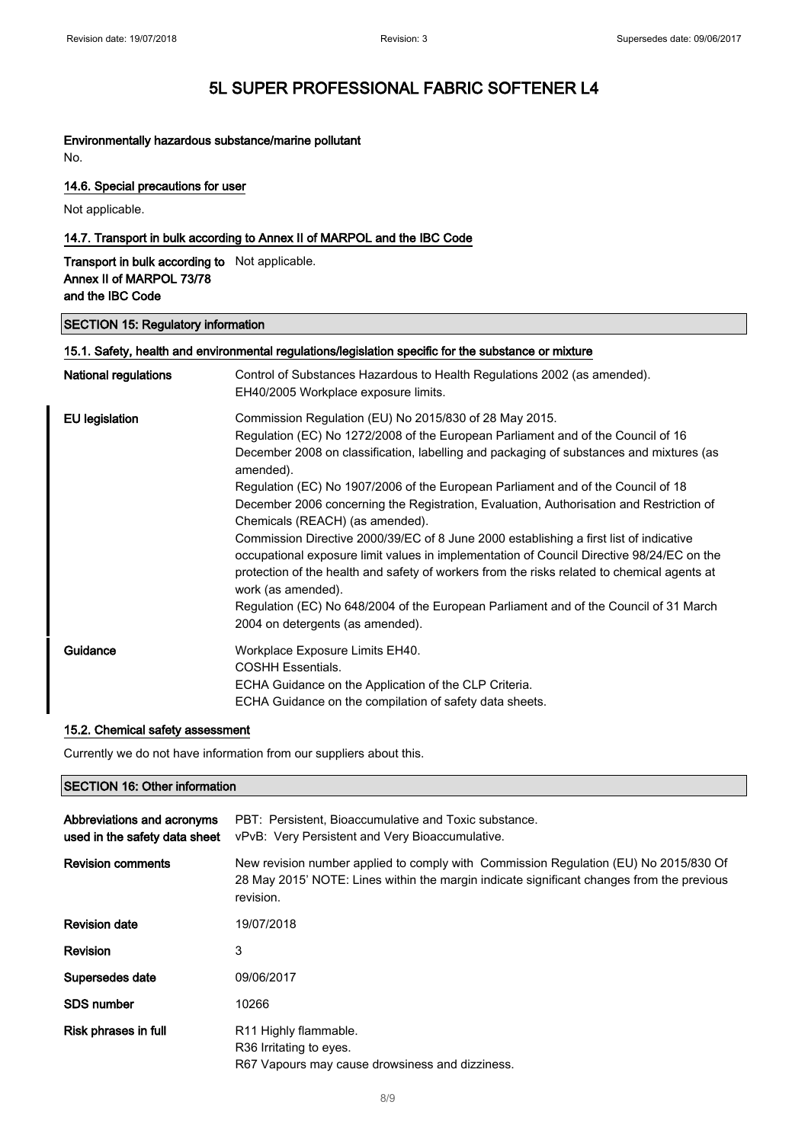### Environmentally hazardous substance/marine pollutant

No.

### 14.6. Special precautions for user

Not applicable.

### 14.7. Transport in bulk according to Annex II of MARPOL and the IBC Code

Transport in bulk according to Not applicable. Annex II of MARPOL 73/78 and the IBC Code

#### SECTION 15: Regulatory information

| 15.1. Safety, health and environmental regulations/legislation specific for the substance or mixture |                                                                                                                   |
|------------------------------------------------------------------------------------------------------|-------------------------------------------------------------------------------------------------------------------|
| <b>National regulations</b>                                                                          | Control of Substances Hazardous to Health Regulations 2002 (as amended).                                          |
|                                                                                                      | EH40/2005 Workplace exposure limits.                                                                              |
| <b>EU</b> legislation                                                                                | Commission Regulation (EU) No 2015/830 of 28 May 2015.                                                            |
|                                                                                                      | Regulation (EC) No 1272/2008 of the European Parliament and of the Council of 16                                  |
|                                                                                                      | December 2008 on classification, labelling and packaging of substances and mixtures (as<br>amended).              |
|                                                                                                      | Regulation (EC) No 1907/2006 of the European Parliament and of the Council of 18                                  |
|                                                                                                      | December 2006 concerning the Registration, Evaluation, Authorisation and Restriction of                           |
|                                                                                                      | Chemicals (REACH) (as amended).                                                                                   |
|                                                                                                      | Commission Directive 2000/39/EC of 8 June 2000 establishing a first list of indicative                            |
|                                                                                                      | occupational exposure limit values in implementation of Council Directive 98/24/EC on the                         |
|                                                                                                      | protection of the health and safety of workers from the risks related to chemical agents at<br>work (as amended). |
|                                                                                                      | Regulation (EC) No 648/2004 of the European Parliament and of the Council of 31 March                             |
|                                                                                                      | 2004 on detergents (as amended).                                                                                  |
| Guidance                                                                                             | Workplace Exposure Limits EH40.                                                                                   |
|                                                                                                      | <b>COSHH Essentials.</b>                                                                                          |
|                                                                                                      | ECHA Guidance on the Application of the CLP Criteria.                                                             |
|                                                                                                      | ECHA Guidance on the compilation of safety data sheets.                                                           |
|                                                                                                      |                                                                                                                   |

### 15.2. Chemical safety assessment

Currently we do not have information from our suppliers about this.

#### SECTION 16: Other information

| Abbreviations and acronyms<br>used in the safety data sheet | PBT: Persistent, Bioaccumulative and Toxic substance.<br>vPvB: Very Persistent and Very Bioaccumulative.                                                                                       |
|-------------------------------------------------------------|------------------------------------------------------------------------------------------------------------------------------------------------------------------------------------------------|
| <b>Revision comments</b>                                    | New revision number applied to comply with Commission Regulation (EU) No 2015/830 Of<br>28 May 2015' NOTE: Lines within the margin indicate significant changes from the previous<br>revision. |
| <b>Revision date</b>                                        | 19/07/2018                                                                                                                                                                                     |
| Revision                                                    | 3                                                                                                                                                                                              |
| Supersedes date                                             | 09/06/2017                                                                                                                                                                                     |
| <b>SDS number</b>                                           | 10266                                                                                                                                                                                          |
| Risk phrases in full                                        | R <sub>11</sub> Highly flammable.<br>R <sub>36</sub> Irritating to eyes.<br>R67 Vapours may cause drowsiness and dizziness.                                                                    |